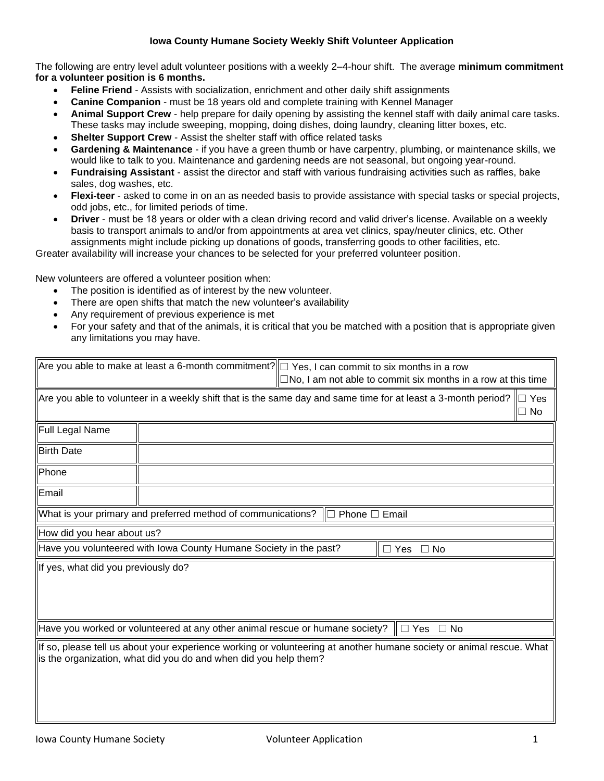## **Iowa County Humane Society Weekly Shift Volunteer Application**

The following are entry level adult volunteer positions with a weekly 2–4-hour shift. The average **minimum commitment for a volunteer position is 6 months.**

- **Feline Friend**  Assists with socialization, enrichment and other daily shift assignments
- **Canine Companion**  must be 18 years old and complete training with Kennel Manager
- **Animal Support Crew**  help prepare for daily opening by assisting the kennel staff with daily animal care tasks. These tasks may include sweeping, mopping, doing dishes, doing laundry, cleaning litter boxes, etc.
- **Shelter Support Crew** Assist the shelter staff with office related tasks
- **Gardening & Maintenance** if you have a green thumb or have carpentry, plumbing, or maintenance skills, we would like to talk to you. Maintenance and gardening needs are not seasonal, but ongoing year-round.
- **Fundraising Assistant** assist the director and staff with various fundraising activities such as raffles, bake sales, dog washes, etc.
- **Flexi-teer** asked to come in on an as needed basis to provide assistance with special tasks or special projects, odd jobs, etc., for limited periods of time.
- **Driver** must be 18 years or older with a clean driving record and valid driver's license. Available on a weekly basis to transport animals to and/or from appointments at area vet clinics, spay/neuter clinics, etc. Other assignments might include picking up donations of goods, transferring goods to other facilities, etc.

Greater availability will increase your chances to be selected for your preferred volunteer position.

New volunteers are offered a volunteer position when:

- The position is identified as of interest by the new volunteer.
- There are open shifts that match the new volunteer's availability
- Any requirement of previous experience is met
- For your safety and that of the animals, it is critical that you be matched with a position that is appropriate given any limitations you may have.

| Are you able to make at least a 6-month commitment? $\Box$ Yes, I can commit to six months in a row<br>$\Box$ No, I am not able to commit six months in a row at this time |                                                                                                                          |  |                                |        |  |  |
|----------------------------------------------------------------------------------------------------------------------------------------------------------------------------|--------------------------------------------------------------------------------------------------------------------------|--|--------------------------------|--------|--|--|
|                                                                                                                                                                            | Are you able to volunteer in a weekly shift that is the same day and same time for at least a 3-month period? $\Box$ Yes |  |                                | II⊡ No |  |  |
| Full Legal Name                                                                                                                                                            |                                                                                                                          |  |                                |        |  |  |
| <b>Birth Date</b>                                                                                                                                                          |                                                                                                                          |  |                                |        |  |  |
| Phone                                                                                                                                                                      |                                                                                                                          |  |                                |        |  |  |
| Email                                                                                                                                                                      |                                                                                                                          |  |                                |        |  |  |
| What is your primary and preferred method of communications?<br>Phone $\Box$ Email<br>IП                                                                                   |                                                                                                                          |  |                                |        |  |  |
|                                                                                                                                                                            |                                                                                                                          |  |                                |        |  |  |
| How did you hear about us?                                                                                                                                                 |                                                                                                                          |  |                                |        |  |  |
|                                                                                                                                                                            | Have you volunteered with lowa County Humane Society in the past?                                                        |  | $\parallel \Box$ Yes $\Box$ No |        |  |  |
| If yes, what did you previously do?                                                                                                                                        |                                                                                                                          |  |                                |        |  |  |
|                                                                                                                                                                            | Have you worked or volunteered at any other animal rescue or humane society?                                             |  | ∥ $\Box$ Yes<br>$\Box$ No      |        |  |  |